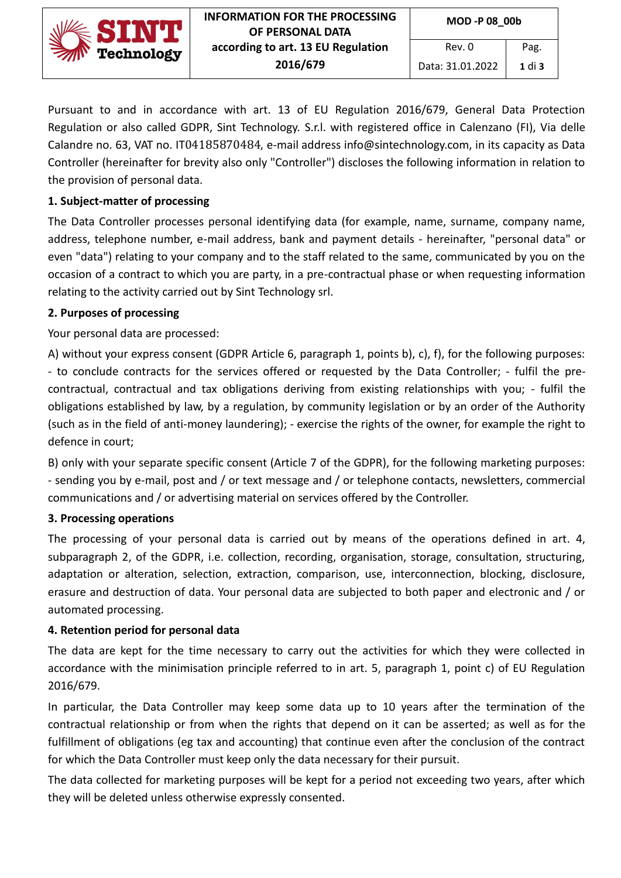

Pursuant to and in accordance with art. 13 of EU Regulation 2016/679, General Data Protection Regulation or also called GDPR, Sint Technology. S.r.l. with registered office in Calenzano (FI), Via delle Calandre no. 63, VAT no. IT04185870484, e-mail address info@sintechnology.com, in its capacity as Data Controller (hereinafter for brevity also only "Controller") discloses the following information in relation to the provision of personal data.

### **1. Subject-matter of processing**

The Data Controller processes personal identifying data (for example, name, surname, company name, address, telephone number, e-mail address, bank and payment details - hereinafter, "personal data" or even "data") relating to your company and to the staff related to the same, communicated by you on the occasion of a contract to which you are party, in a pre-contractual phase or when requesting information relating to the activity carried out by Sint Technology srl.

#### **2. Purposes of processing**

Your personal data are processed:

A) without your express consent (GDPR Article 6, paragraph 1, points b), c), f), for the following purposes: - to conclude contracts for the services offered or requested by the Data Controller; - fulfil the precontractual, contractual and tax obligations deriving from existing relationships with you; - fulfil the obligations established by law, by a regulation, by community legislation or by an order of the Authority (such as in the field of anti-money laundering); - exercise the rights of the owner, for example the right to defence in court;

B) only with your separate specific consent (Article 7 of the GDPR), for the following marketing purposes: - sending you by e-mail, post and / or text message and / or telephone contacts, newsletters, commercial communications and / or advertising material on services offered by the Controller.

# **3. Processing operations**

The processing of your personal data is carried out by means of the operations defined in art. 4, subparagraph 2, of the GDPR, i.e. collection, recording, organisation, storage, consultation, structuring, adaptation or alteration, selection, extraction, comparison, use, interconnection, blocking, disclosure, erasure and destruction of data. Your personal data are subjected to both paper and electronic and / or automated processing.

# **4. Retention period for personal data**

The data are kept for the time necessary to carry out the activities for which they were collected in accordance with the minimisation principle referred to in art. 5, paragraph 1, point c) of EU Regulation 2016/679.

In particular, the Data Controller may keep some data up to 10 years after the termination of the contractual relationship or from when the rights that depend on it can be asserted; as well as for the fulfillment of obligations (eg tax and accounting) that continue even after the conclusion of the contract for which the Data Controller must keep only the data necessary for their pursuit.

The data collected for marketing purposes will be kept for a period not exceeding two years, after which they will be deleted unless otherwise expressly consented.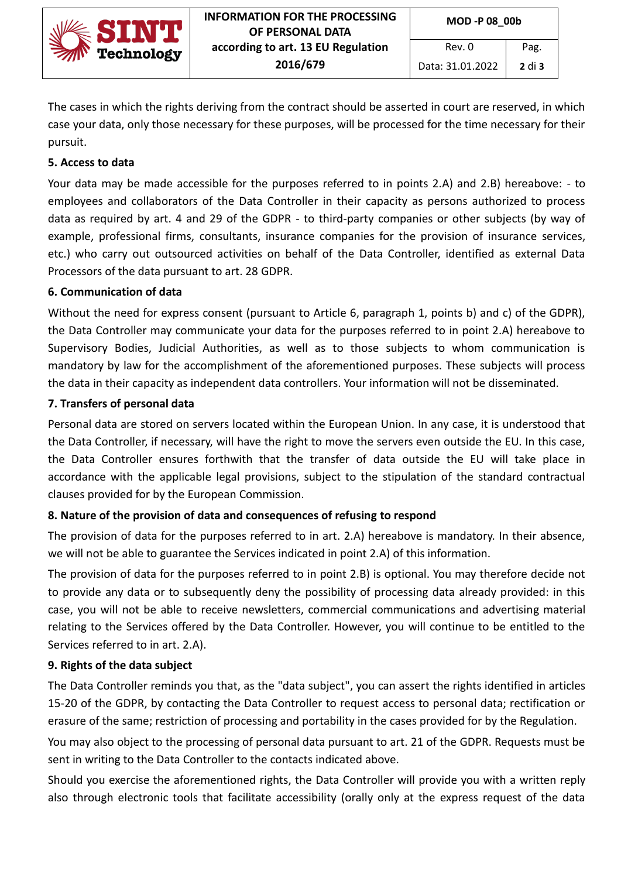

The cases in which the rights deriving from the contract should be asserted in court are reserved, in which case your data, only those necessary for these purposes, will be processed for the time necessary for their pursuit.

### **5. Access to data**

Your data may be made accessible for the purposes referred to in points 2.A) and 2.B) hereabove: - to employees and collaborators of the Data Controller in their capacity as persons authorized to process data as required by art. 4 and 29 of the GDPR - to third-party companies or other subjects (by way of example, professional firms, consultants, insurance companies for the provision of insurance services, etc.) who carry out outsourced activities on behalf of the Data Controller, identified as external Data Processors of the data pursuant to art. 28 GDPR.

#### **6. Communication of data**

Without the need for express consent (pursuant to Article 6, paragraph 1, points b) and c) of the GDPR), the Data Controller may communicate your data for the purposes referred to in point 2.A) hereabove to Supervisory Bodies, Judicial Authorities, as well as to those subjects to whom communication is mandatory by law for the accomplishment of the aforementioned purposes. These subjects will process the data in their capacity as independent data controllers. Your information will not be disseminated.

#### **7. Transfers of personal data**

Personal data are stored on servers located within the European Union. In any case, it is understood that the Data Controller, if necessary, will have the right to move the servers even outside the EU. In this case, the Data Controller ensures forthwith that the transfer of data outside the EU will take place in accordance with the applicable legal provisions, subject to the stipulation of the standard contractual clauses provided for by the European Commission.

# **8. Nature of the provision of data and consequences of refusing to respond**

The provision of data for the purposes referred to in art. 2.A) hereabove is mandatory. In their absence, we will not be able to guarantee the Services indicated in point 2.A) of this information.

The provision of data for the purposes referred to in point 2.B) is optional. You may therefore decide not to provide any data or to subsequently deny the possibility of processing data already provided: in this case, you will not be able to receive newsletters, commercial communications and advertising material relating to the Services offered by the Data Controller. However, you will continue to be entitled to the Services referred to in art. 2.A).

#### **9. Rights of the data subject**

The Data Controller reminds you that, as the "data subject", you can assert the rights identified in articles 15-20 of the GDPR, by contacting the Data Controller to request access to personal data; rectification or erasure of the same; restriction of processing and portability in the cases provided for by the Regulation.

You may also object to the processing of personal data pursuant to art. 21 of the GDPR. Requests must be sent in writing to the Data Controller to the contacts indicated above.

Should you exercise the aforementioned rights, the Data Controller will provide you with a written reply also through electronic tools that facilitate accessibility (orally only at the express request of the data